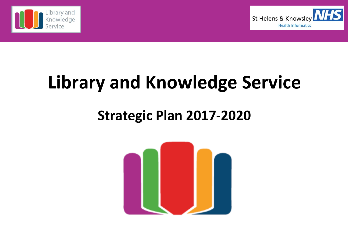



# **Library and Knowledge Service**

# **Strategic Plan 2017‐2020**

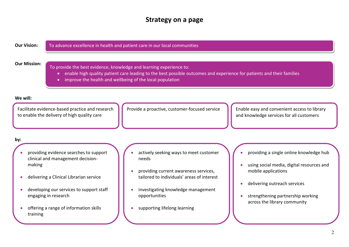# **Strategy on <sup>a</sup> page**

| <b>Our Vision:</b> |                                                                                                                                  | To advance excellence in health and patient care in our local communities                                                                                                                                                                                |
|--------------------|----------------------------------------------------------------------------------------------------------------------------------|----------------------------------------------------------------------------------------------------------------------------------------------------------------------------------------------------------------------------------------------------------|
|                    | <b>Our Mission:</b><br>$\bullet$<br>$\bullet$                                                                                    | To provide the best evidence, knowledge and learning experience to:<br>enable high quality patient care leading to the best possible outcomes and experience for patients and their families<br>improve the health and wellbeing of the local population |
| We will:           | Facilitate evidence-based practice and research<br>to enable the delivery of high quality care                                   | Provide a proactive, customer-focused service<br>Enable easy and convenient access to library<br>and knowledge services for all customers                                                                                                                |
| by:                | providing evidence searches to support<br>clinical and management decision-<br>making<br>delivering a Clinical Librarian service | actively seeking ways to meet customer<br>providing a single online knowledge hub<br>needs<br>using social media, digital resources and<br>providing current awareness services,<br>mobile applications<br>tailored to individuals' areas of interest    |
|                    | developing our services to support staff<br>engaging in research<br>offering a range of information skills<br>training           | delivering outreach services<br>investigating knowledge management<br>opportunities<br>strengthening partnership working<br>across the library community<br>supporting lifelong learning                                                                 |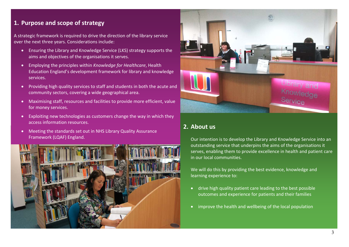# **1. Purpose and scope of strategy**

A strategic framework is required to drive the direction of the library service over the next three years. Considerations include:

- Ensuring the Library and Knowledge Service (LKS) strategy supports the aims and objectives of the organisations it serves.
- $\bullet$  Employing the principles within *Knowledge for Healthcare*, Health Education England's development framework for library and knowledge services.
- $\bullet$  Providing high quality services to staff and students in both the acute and community sectors, covering <sup>a</sup> wide geographical area.
- $\bullet$  Maximising staff, resources and facilities to provide more efficient, value for money services.
- $\bullet$ Exploiting new technologies as customers change the way in which they access information resources.
- Meeting the standards set out in NHS Library Quality Assurance Framework (LQAF) England.





#### **2. About us**

Our intention is to develop the Library and Knowledge Service into an outstanding service that underpins the aims of the organisations it serves, enabling them to provide excellence in health and patient care in our local communities.

We will do this by providing the best evidence, knowledge and learning experience to:

- drive high quality patient care leading to the best possible outcomes and experience for patients and their families
- $\bullet$  . improve the health and wellbeing of the local population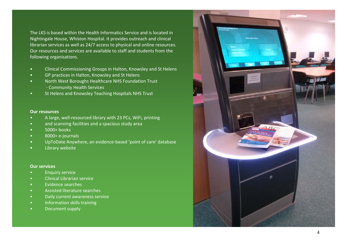The LKS is based within the Health Informatics Service and is located in Nightingale House, Whiston Hospital. It provides outreach and clinical librarian services as well as 24/7 access to physical and online resources. Our resources and services are available to staff and students from the following organisations.

- •Clinical Commissioning Groups in Halton, Knowsley and St Helens
- •GP practices in Halton, Knowsley and St Helens
- •• North West Boroughs Healthcare NHS Foundation Trust ‐ Community Health Services
- •**•** St Helens and Knowsley Teaching Hospitals NHS Trust

#### **Our resources**

- •● A large, well-resourced library with 23 PCs, WiFi, printing
- •• and scanning facilities and a spacious study area
- •5000+ books
- •8000+ <sup>e</sup>‐journals
- •UpToDate Anywhere, an evidence‐based 'point of care' database
- •Library website

#### **Our services**

- •Enquiry service
- •Clinical Librarian service
- •Evidence searches
- •Assisted literature searches
- •Daily current awareness service
- •**•** Information skills training
- •Document supply

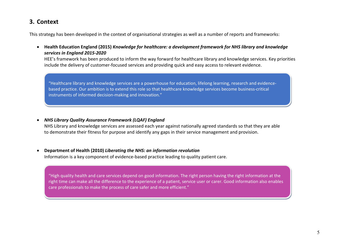# **3. Context**

This strategy has been developed in the context of organisational strategies as well as <sup>a</sup> number of reports and frameworks:

 **Health Education England (2015)** *Knowledge for healthcare: <sup>a</sup> development framework for NHS library and knowledge services in England 2015‐2020*

HEE's framework has been produced to inform the way forward for healthcare library and knowledge services. Key priorities include the delivery of customer‐focused services and providing quick and easy access to relevant evidence.

"Healthcare library and knowledge services are <sup>a</sup> powerhouse for education, lifelong learning, research and evidence‐ based practice. Our ambition is to extend this role so that healthcare knowledge services become business‐critical instruments of informed decision‐making and innovation."

*NHS Library Quality Assurance Framework (LQAF) England*

NHS Library and knowledge services are assessed each year against nationally agreed standards so that they are able to demonstrate their fitness for purpose and identify any gaps in their service management and provision.

. **Department of Health (2010)** *Liberating the NHS: an information revolution* Information is <sup>a</sup> key component of evidence‐based practice leading to quality patient care.

"High quality health and care services depend on good information. The right person having the right information at the right time can make all the difference to the experience of <sup>a</sup> patient, service user or carer. Good information also enables care professionals to make the process of care safer and more efficient."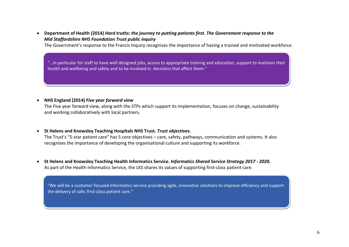• Department of Health (2014) Hard truths: the journey to putting patients first. The Government response to the *Mid Staffordshire NHS Foundation Trust public inquiry*

The Government's response to the Francis Inquiry recognises the importance of having <sup>a</sup> trained and motivated workforce.

"…in particular for staff to have well designed jobs, access to appropriate training and education, support to maintain their health and wellbeing and safety and to be involved in decisions that affect them."

**NHS England (2014)** *Five year forward view*

The Five year forward view, along with the STPs which support its implementation, focuses on change, sustainability and working collaboratively with local partners.

#### **St Helens and Knowsley Teaching Hospitals NHS Trust.** *Trust objectives.*

The Trust's "5‐star patient care" has 5 core objectives – care, safety, pathways, communication and systems. It also recognises the importance of developing the organisational culture and supporting its workforce.

 **St Helens and Knowsley Teaching Health Informatics Service.** *Informatics Shared Service Strategy 2017 ‐ 2020.* As part of the Health Informatics Service, the LKS shares its values of supporting first‐class patient care.

"We will be <sup>a</sup> customer focused Informatics service providing agile, innovative solutions to improve efficiency and support the delivery of safe, first‐class patient care."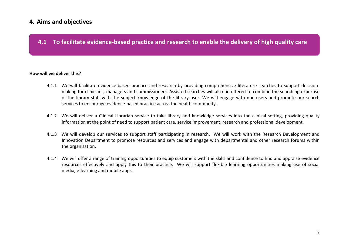# **4. Aims and objectives**

## **4.1 To facilitate evidence‐based practice and research to enable the delivery of high quality care**

#### **How will we deliver this?**

- 4.1.1 We will facilitate evidence‐based practice and research by providing comprehensive literature searches to support decision‐ making for clinicians, managers and commissioners. Assisted searches will also be offered to combine the searching expertise of the library staff with the subject knowledge of the library user. We will engage with non‐users and promote our search services to encourage evidence‐based practice across the health community.
- 4.1.2 We will deliver <sup>a</sup> Clinical Librarian service to take library and knowledge services into the clinical setting, providing quality information at the point of need to support patient care, service improvement, research and professional development.
- 4.1.3 We will develop our services to support staff participating in research. We will work with the Research Development and Innovation Department to promote resources and services and engage with departmental and other research forums within the organisation.
- 4.1.4 We will offer <sup>a</sup> range of training opportunities to equip customers with the skills and confidence to find and appraise evidence resources effectively and apply this to their practice. We will support flexible learning opportunities making use of social media, <sup>e</sup>‐learning and mobile apps.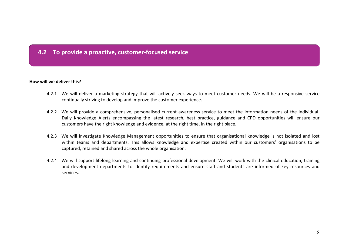# **4.2 To provide <sup>a</sup> proactive, customer‐focused service**

#### **How will we deliver this?**

- 4.2.1 We will deliver <sup>a</sup> marketing strategy that will actively seek ways to meet customer needs. We will be <sup>a</sup> responsive service continually striving to develop and improve the customer experience.
- 4.2.2 We will provide <sup>a</sup> comprehensive, personalised current awareness service to meet the information needs of the individual. Daily Knowledge Alerts encompassing the latest research, best practice, guidance and CPD opportunities will ensure our customers have the right knowledge and evidence, at the right time, in the right place.
- 4.2.3 We will investigate Knowledge Management opportunities to ensure that organisational knowledge is not isolated and lost within teams and departments. This allows knowledge and expertise created within our customers' organisations to be captured, retained and shared across the whole organisation.
- 4.2.4 We will support lifelong learning and continuing professional development. We will work with the clinical education, training and development departments to identify requirements and ensure staff and students are informed of key resources and services.